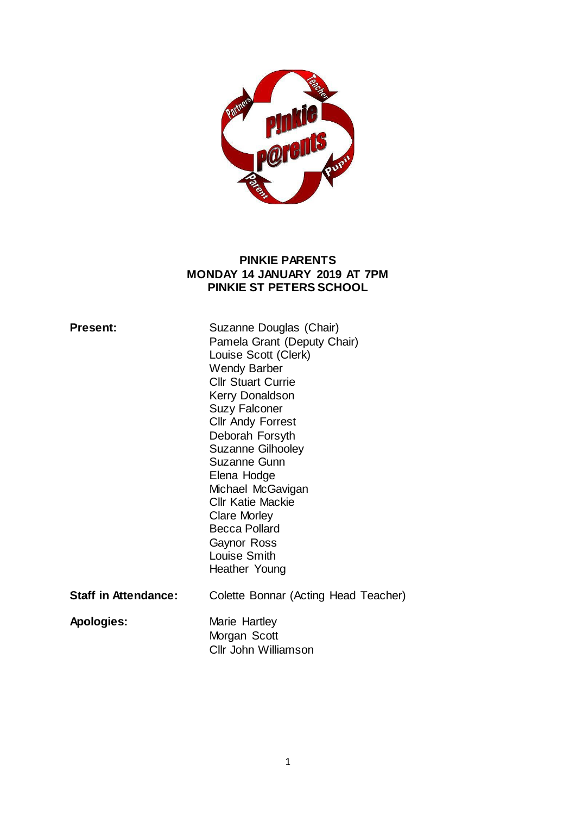

#### **PINKIE PARENTS MONDAY 14 JANUARY 2019 AT 7PM PINKIE ST PETERS SCHOOL**

| <b>Present:</b>             | Suzanne Douglas (Chair)<br>Pamela Grant (Deputy Chair)<br>Louise Scott (Clerk)<br><b>Wendy Barber</b><br><b>Cllr Stuart Currie</b><br><b>Kerry Donaldson</b><br><b>Suzy Falconer</b><br><b>Cllr Andy Forrest</b><br>Deborah Forsyth<br><b>Suzanne Gilhooley</b><br>Suzanne Gunn<br>Elena Hodge<br>Michael McGavigan<br><b>Cllr Katie Mackie</b><br><b>Clare Morley</b><br><b>Becca Pollard</b><br>Gaynor Ross<br>Louise Smith<br>Heather Young |
|-----------------------------|------------------------------------------------------------------------------------------------------------------------------------------------------------------------------------------------------------------------------------------------------------------------------------------------------------------------------------------------------------------------------------------------------------------------------------------------|
| <b>Staff in Attendance:</b> | Colette Bonnar (Acting Head Teacher)                                                                                                                                                                                                                                                                                                                                                                                                           |
| Apologies:                  | Marie Hartley<br>Morgan Scott<br>Cllr John Williamson                                                                                                                                                                                                                                                                                                                                                                                          |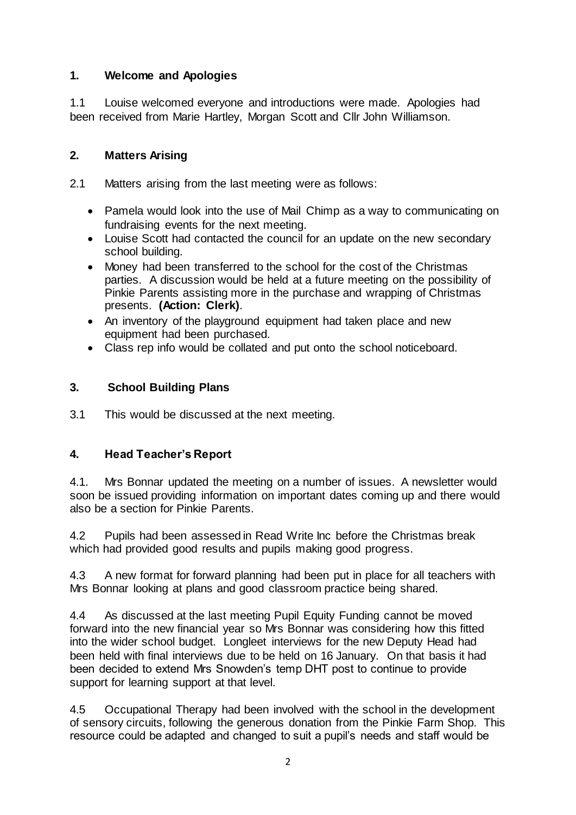### **1. Welcome and Apologies**

1.1 Louise welcomed everyone and introductions were made. Apologies had been received from Marie Hartley, Morgan Scott and Cllr John Williamson.

### **2. Matters Arising**

2.1 Matters arising from the last meeting were as follows:

- Pamela would look into the use of Mail Chimp as a way to communicating on fundraising events for the next meeting.
- Louise Scott had contacted the council for an update on the new secondary school building.
- Money had been transferred to the school for the cost of the Christmas parties. A discussion would be held at a future meeting on the possibility of Pinkie Parents assisting more in the purchase and wrapping of Christmas presents. **(Action: Clerk)**.
- An inventory of the playground equipment had taken place and new equipment had been purchased.
- Class rep info would be collated and put onto the school noticeboard.

## **3. School Building Plans**

3.1 This would be discussed at the next meeting.

## **4. Head Teacher's Report**

4.1. Mrs Bonnar updated the meeting on a number of issues. A newsletter would soon be issued providing information on important dates coming up and there would also be a section for Pinkie Parents.

4.2 Pupils had been assessed in Read Write Inc before the Christmas break which had provided good results and pupils making good progress.

4.3 A new format for forward planning had been put in place for all teachers with Mrs Bonnar looking at plans and good classroom practice being shared.

4.4 As discussed at the last meeting Pupil Equity Funding cannot be moved forward into the new financial year so Mrs Bonnar was considering how this fitted into the wider school budget. Longleet interviews for the new Deputy Head had been held with final interviews due to be held on 16 January. On that basis it had been decided to extend Mrs Snowden's temp DHT post to continue to provide support for learning support at that level.

4.5 Occupational Therapy had been involved with the school in the development of sensory circuits, following the generous donation from the Pinkie Farm Shop. This resource could be adapted and changed to suit a pupil's needs and staff would be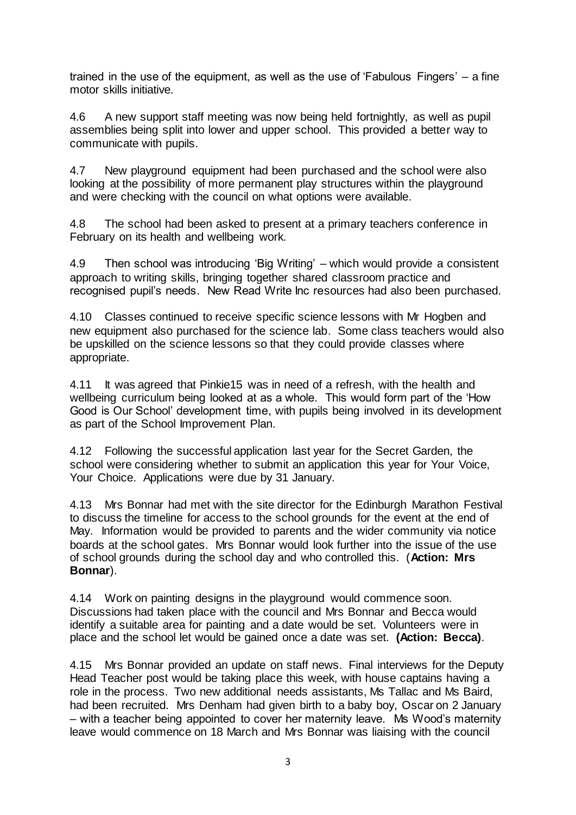trained in the use of the equipment, as well as the use of 'Fabulous Fingers' – a fine motor skills initiative.

4.6 A new support staff meeting was now being held fortnightly, as well as pupil assemblies being split into lower and upper school. This provided a better way to communicate with pupils.

4.7 New playground equipment had been purchased and the school were also looking at the possibility of more permanent play structures within the playground and were checking with the council on what options were available.

4.8 The school had been asked to present at a primary teachers conference in February on its health and wellbeing work.

4.9 Then school was introducing 'Big Writing' – which would provide a consistent approach to writing skills, bringing together shared classroom practice and recognised pupil's needs. New Read Write Inc resources had also been purchased.

4.10 Classes continued to receive specific science lessons with Mr Hogben and new equipment also purchased for the science lab. Some class teachers would also be upskilled on the science lessons so that they could provide classes where appropriate.

4.11 It was agreed that Pinkie15 was in need of a refresh, with the health and wellbeing curriculum being looked at as a whole. This would form part of the 'How Good is Our School' development time, with pupils being involved in its development as part of the School Improvement Plan.

4.12 Following the successful application last year for the Secret Garden, the school were considering whether to submit an application this year for Your Voice, Your Choice. Applications were due by 31 January.

4.13 Mrs Bonnar had met with the site director for the Edinburgh Marathon Festival to discuss the timeline for access to the school grounds for the event at the end of May. Information would be provided to parents and the wider community via notice boards at the school gates. Mrs Bonnar would look further into the issue of the use of school grounds during the school day and who controlled this. (**Action: Mrs Bonnar**).

4.14 Work on painting designs in the playground would commence soon. Discussions had taken place with the council and Mrs Bonnar and Becca would identify a suitable area for painting and a date would be set. Volunteers were in place and the school let would be gained once a date was set. **(Action: Becca)**.

4.15 Mrs Bonnar provided an update on staff news. Final interviews for the Deputy Head Teacher post would be taking place this week, with house captains having a role in the process. Two new additional needs assistants, Ms Tallac and Ms Baird, had been recruited. Mrs Denham had given birth to a baby boy, Oscar on 2 January – with a teacher being appointed to cover her maternity leave. Ms Wood's maternity leave would commence on 18 March and Mrs Bonnar was liaising with the council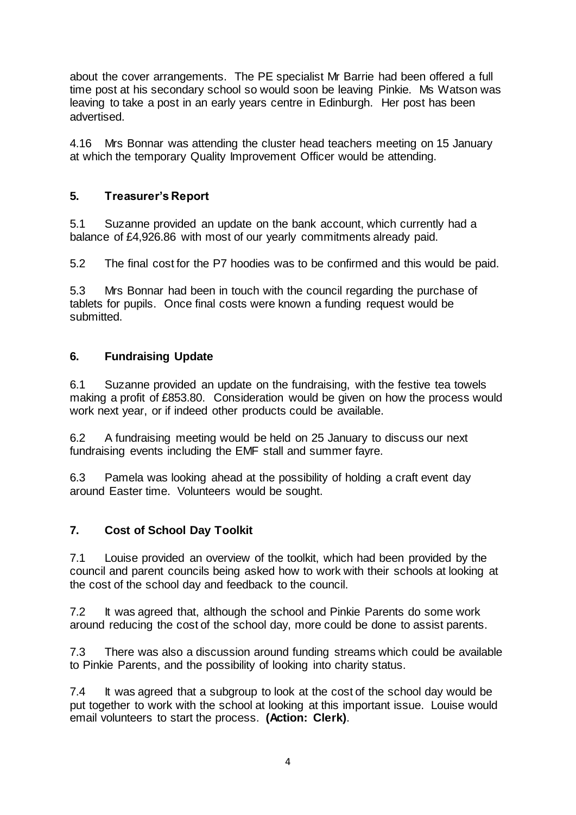about the cover arrangements. The PE specialist Mr Barrie had been offered a full time post at his secondary school so would soon be leaving Pinkie. Ms Watson was leaving to take a post in an early years centre in Edinburgh. Her post has been advertised.

4.16 Mrs Bonnar was attending the cluster head teachers meeting on 15 January at which the temporary Quality Improvement Officer would be attending.

#### **5. Treasurer's Report**

5.1 Suzanne provided an update on the bank account, which currently had a balance of £4,926.86 with most of our yearly commitments already paid.

5.2 The final cost for the P7 hoodies was to be confirmed and this would be paid.

5.3 Mrs Bonnar had been in touch with the council regarding the purchase of tablets for pupils. Once final costs were known a funding request would be submitted.

#### **6. Fundraising Update**

6.1 Suzanne provided an update on the fundraising, with the festive tea towels making a profit of £853.80. Consideration would be given on how the process would work next year, or if indeed other products could be available.

6.2 A fundraising meeting would be held on 25 January to discuss our next fundraising events including the EMF stall and summer fayre.

6.3 Pamela was looking ahead at the possibility of holding a craft event day around Easter time. Volunteers would be sought.

#### **7. Cost of School Day Toolkit**

7.1 Louise provided an overview of the toolkit, which had been provided by the council and parent councils being asked how to work with their schools at looking at the cost of the school day and feedback to the council.

7.2 It was agreed that, although the school and Pinkie Parents do some work around reducing the cost of the school day, more could be done to assist parents.

7.3 There was also a discussion around funding streams which could be available to Pinkie Parents, and the possibility of looking into charity status.

7.4 It was agreed that a subgroup to look at the cost of the school day would be put together to work with the school at looking at this important issue. Louise would email volunteers to start the process. **(Action: Clerk)**.